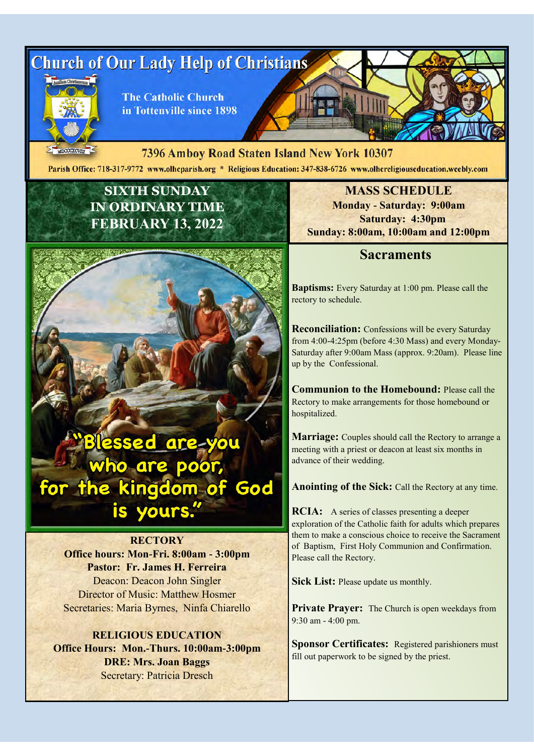

 $MDCOCXCVTT$ 7396 Amboy Road Staten Island New York 10307 Parish Office: 718-317-9772 www.olheparish.org \* Religious Education: 347-838-6726 www.olhereligiouseducation.weebly.com

## **SIXTH SUNDAY IN ORDINARY TIME FEBRUARY 13, 2022**



#### **RECTORY**

**Office hours: Mon-Fri. 8:00am - 3:00pm Pastor: Fr. James H. Ferreira** Deacon: Deacon John Singler Director of Music: Matthew Hosmer Secretaries: Maria Byrnes, Ninfa Chiarello

#### **RELIGIOUS EDUCATION Office Hours: Mon.-Thurs. 10:00am-3:00pm DRE: Mrs. Joan Baggs** Secretary: Patricia Dresch

**MASS SCHEDULE Monday - Saturday: 9:00am Saturday: 4:30pm Sunday: 8:00am, 10:00am and 12:00pm**

#### **Sacraments**

**Baptisms:** Every Saturday at 1:00 pm. Please call the rectory to schedule.

**Reconciliation:** Confessions will be every Saturday from 4:00-4:25pm (before 4:30 Mass) and every Monday-Saturday after 9:00am Mass (approx. 9:20am). Please line up by the Confessional.

**Communion to the Homebound:** Please call the Rectory to make arrangements for those homebound or hospitalized.

**Marriage:** Couples should call the Rectory to arrange a meeting with a priest or deacon at least six months in advance of their wedding.

**Anointing of the Sick:** Call the Rectory at any time.

**RCIA:** A series of classes presenting a deeper exploration of the Catholic faith for adults which prepares them to make a conscious choice to receive the Sacrament of Baptism, First Holy Communion and Confirmation. Please call the Rectory.

**Sick List:** Please update us monthly.

**Private Prayer:** The Church is open weekdays from 9:30 am - 4:00 pm.

**Sponsor Certificates:** Registered parishioners must fill out paperwork to be signed by the priest.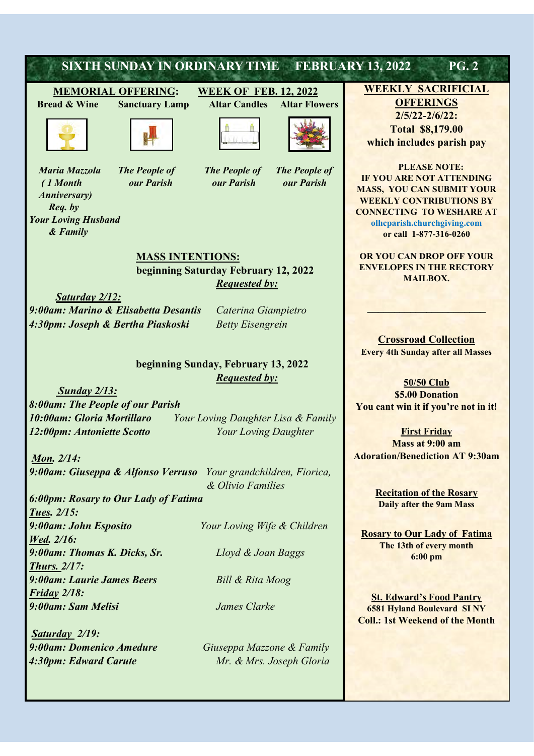# **SIXTH SUNDAY IN ORDINARY TIME FEBRUARY 13, 2022 PG. 2**

### **MEMORIAL OFFERING: WEEK OF FEB. 12, 2022**

 **Bread & Wine Sanctuary Lamp Altar Candles Altar Flowers**



 *Anniversary) Req. by Your Loving Husband & Family* 





 *Maria Mazzola The People of The People of The People of ( 1 Month our Parish our Parish our Parish*



**MASS INTENTIONS: beginning Saturday February 12, 2022** *Requested by:* 

*Saturday 2/12: 9:00am: Marino & Elisabetta Desantis Caterina Giampietro 4:30pm: Joseph & Bertha Piaskoski Betty Eisengrein*

#### **beginning Sunday, February 13, 2022**  *Requested by:*

*Sunday 2/13:*

*8:00am: The People of our Parish 10:00am: Gloria Mortillaro Your Loving Daughter Lisa & Family 12:00pm: Antoniette Scotto Your Loving Daughter* 

*Mon. 2/14: 9:00am: Giuseppa & Alfonso Verruso Your grandchildren, Fiorica,*

*6:00pm: Rosary to Our Lady of Fatima Tues. 2/15: 9:00am: John Esposito Your Loving Wife & Children Wed. 2/16: 9:00am: Thomas K. Dicks, Sr. Lloyd & Joan Baggs Thurs. 2/17: 9:00am: Laurie James Beers Bill & Rita Moog Friday 2/18: 9:00am: Sam Melisi James Clarke*

*Saturday 2/19: 9:00am: Domenico Amedure Giuseppa Mazzone & Family* 

 *& Olivio Families* 

*4:30pm: Edward Carute Mr. & Mrs. Joseph Gloria*

**WEEKLY SACRIFICIAL** 

**OFFERINGS 2/5/22-2/6/22: Total \$8,179.00 which includes parish pay**

 **PLEASE NOTE: IF YOU ARE NOT ATTENDING MASS, YOU CAN SUBMIT YOUR WEEKLY CONTRIBUTIONS BY CONNECTING TO WESHARE AT olhcparish.churchgiving.com or call 1-877-316-0260**

**OR YOU CAN DROP OFF YOUR ENVELOPES IN THE RECTORY MAILBOX.** 

**\_\_\_\_\_\_\_\_\_\_\_\_\_\_\_\_\_\_\_\_\_\_**

**Crossroad Collection Every 4th Sunday after all Masses**

**50/50 Club \$5.00 Donation You cant win it if you're not in it!**

**First Friday Mass at 9:00 am Adoration/Benediction AT 9:30am**

> **Recitation of the Rosary Daily after the 9am Mass**

**Rosary to Our Lady of Fatima The 13th of every month 6:00 pm** 

**St. Edward's Food Pantry 6581 Hyland Boulevard SI NY Coll.: 1st Weekend of the Month**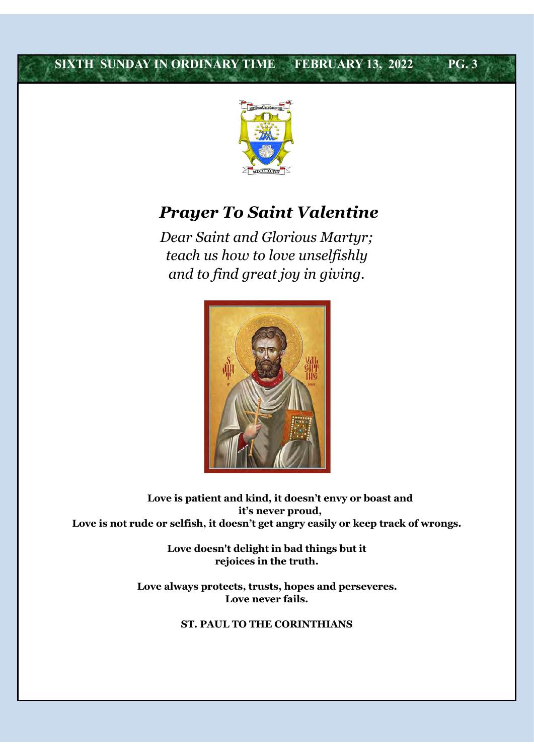## **SIXTH SUNDAY IN ORDINARY TIME FEBRUARY 13, 2022 PG. 3**



## *Prayer To Saint Valentine*

*Dear Saint and Glorious Martyr; teach us how to love unselfishly and to find great joy in giving.*



**Love is patient and kind, it doesn't envy or boast and it's never proud, Love is not rude or selfish, it doesn't get angry easily or keep track of wrongs.** 

> **Love doesn't delight in bad things but it rejoices in the truth.**

**Love always protects, trusts, hopes and perseveres. Love never fails.** 

**ST. PAUL TO THE CORINTHIANS**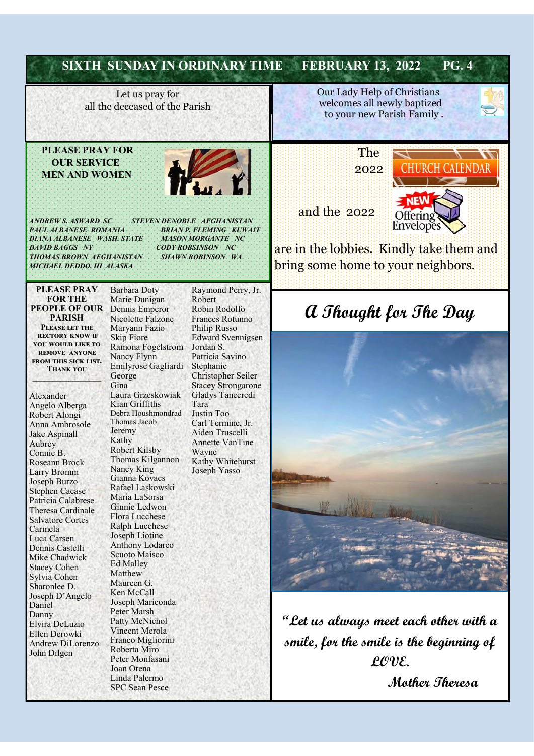| Our Lady Help of Christians<br>Let us pray for<br>welcomes all newly baptized<br>all the deceased of the Parish<br>to your new Parish Family.<br><b>PLEASE PRAY FOR</b><br>The<br><b>OUR SERVICE</b><br>LENDAR<br>2022<br><b>MEN AND WOMEN</b><br>and the 2022<br>Offering<br><b>ANDREW'S: ASWARD SC</b><br><b>STEVEN DENOBLE AFGHANISTAN.</b><br><b>Envelopes</b><br><b>PAUL ALBANESE ROMANIA</b><br>BRIAN P. FLEMING KUWAIT<br>DIANA ALBANESE WASH. STATE<br><b>MASON MORGANTE NC</b><br><b>DAVID BAGGS NY</b><br><b>CODY ROBSINSON</b> NC<br><b>THOMAS BROWN AFGHANISTAN</b><br><b>SHAWN ROBINSON</b> WA<br>bring some home to your neighbors.<br>MICHAEL DEDDO, III ALASKA<br><b>PLEASE PRAY</b><br>Raymond Perry, Jr.<br><b>Barbara Doty</b><br><b>FOR THE</b><br>Marie Dunigan<br>Robert<br><b>PEOPLE OF OUR</b><br>Robin Rodolfo<br>Dennis Emperor<br>a Thought for The Day<br><b>PARISH</b><br>Nicolette Falzone<br>Frances Rotunno<br>PLEASE LET THE<br>Maryann Fazio<br><b>Philip Russo</b><br><b>RECTORY KNOW IF</b><br><b>Skip Fiore</b><br><b>Edward Svennigsen</b><br>YOU WOULD LIKE TO<br>Ramona Fogelstrom<br>Jordan S.<br><b>REMOVE ANYONE</b><br>Nancy Flynn<br>Patricia Savino<br>FROM THIS SICK LIST.<br>Emilyrose Gagliardi<br>Stephanie<br><b>THANK YOU</b><br>Christopher Seiler<br>George<br>Gina<br><b>Stacey Strongarone</b><br>Laura Grzeskowiak<br>Gladys Tanecredi<br>Alexander<br>Kian Griffiths<br>Tara<br>Angelo Alberga<br>Debra Houshmondrad<br>Justin Too<br>Robert Alongi<br>Thomas Jacob<br>Carl Termine, Jr.<br>Anna Ambrosole<br>Jeremy<br>Aiden Truscelli<br>Jake Aspinall<br>Kathy<br><b>Annette VanTine</b><br>Aubrey<br><b>Robert Kilsby</b><br>Wayne<br>Connie B.<br>Thomas Kilgannon<br>Kathy Whitehurst<br>Roseann Brock<br>Nancy King<br>Joseph Yasso<br><b>Larry Bromm</b><br>Gianna Kovacs<br>Joseph Burzo<br>Rafael Laskowski<br><b>Stephen Cacase</b><br>Maria LaSorsa<br>Patricia Calabrese<br>Ginnie Ledwon<br><b>Theresa Cardinale</b><br>Flora Lucchese<br><b>Salvatore Cortes</b><br><b>Ralph Lucchese</b><br>Carmela<br>Joseph Liotine<br>Luca Carsen<br>Anthony Lodareo<br>Dennis Castelli<br>Scuoto Maisco<br>Mike Chadwick<br><b>Ed Malley</b><br><b>Stacey Cohen</b><br>Matthew<br>Sylvia Cohen<br>Maureen G.<br>Sharonlee D.<br>Ken McCall<br>Joseph D'Angelo<br>Joseph Mariconda<br>Daniel<br>Peter Marsh<br>Danny<br>Patty McNichol<br>Elvira DeLuzio<br>Vincent Merola |               | <b>SIXTH SUNDAY IN ORDINARY TIME</b> |  | <b>PG.4</b><br><b>FEBRUARY 13, 2022</b>                                                   |
|-----------------------------------------------------------------------------------------------------------------------------------------------------------------------------------------------------------------------------------------------------------------------------------------------------------------------------------------------------------------------------------------------------------------------------------------------------------------------------------------------------------------------------------------------------------------------------------------------------------------------------------------------------------------------------------------------------------------------------------------------------------------------------------------------------------------------------------------------------------------------------------------------------------------------------------------------------------------------------------------------------------------------------------------------------------------------------------------------------------------------------------------------------------------------------------------------------------------------------------------------------------------------------------------------------------------------------------------------------------------------------------------------------------------------------------------------------------------------------------------------------------------------------------------------------------------------------------------------------------------------------------------------------------------------------------------------------------------------------------------------------------------------------------------------------------------------------------------------------------------------------------------------------------------------------------------------------------------------------------------------------------------------------------------------------------------------------------------------------------------------------------------------------------------------------------------------------------------------------------------------------------------------------------------------------------------------------------------------------------------------------------------------------------------------------------------|---------------|--------------------------------------|--|-------------------------------------------------------------------------------------------|
|                                                                                                                                                                                                                                                                                                                                                                                                                                                                                                                                                                                                                                                                                                                                                                                                                                                                                                                                                                                                                                                                                                                                                                                                                                                                                                                                                                                                                                                                                                                                                                                                                                                                                                                                                                                                                                                                                                                                                                                                                                                                                                                                                                                                                                                                                                                                                                                                                                         |               |                                      |  |                                                                                           |
|                                                                                                                                                                                                                                                                                                                                                                                                                                                                                                                                                                                                                                                                                                                                                                                                                                                                                                                                                                                                                                                                                                                                                                                                                                                                                                                                                                                                                                                                                                                                                                                                                                                                                                                                                                                                                                                                                                                                                                                                                                                                                                                                                                                                                                                                                                                                                                                                                                         |               |                                      |  | are in the lobbies. Kindly take them and                                                  |
| Andrew DiLorenzo<br>Roberta Miro                                                                                                                                                                                                                                                                                                                                                                                                                                                                                                                                                                                                                                                                                                                                                                                                                                                                                                                                                                                                                                                                                                                                                                                                                                                                                                                                                                                                                                                                                                                                                                                                                                                                                                                                                                                                                                                                                                                                                                                                                                                                                                                                                                                                                                                                                                                                                                                                        | Ellen Derowki | Franco Migliorini                    |  | $\lq\lq$ Let us always meet each other with a<br>smile, for the smile is the beginning of |

Mother Theresa

Linda Palermo<br>SPC Sean Pesce

Joan Orena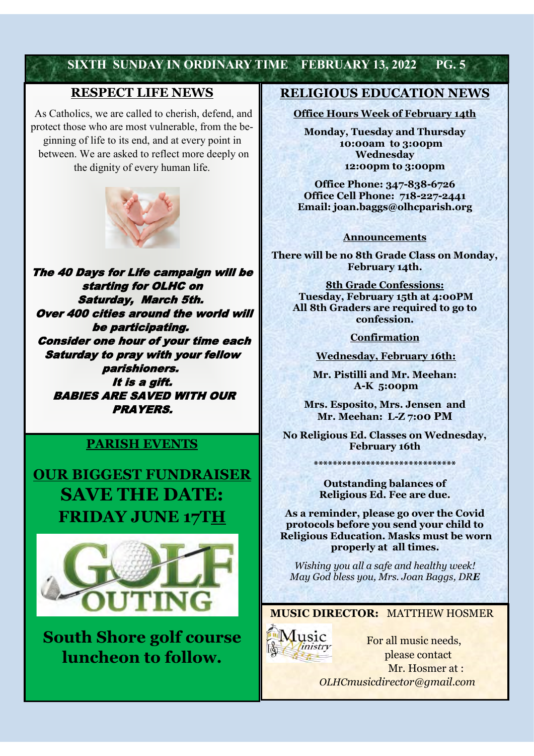### **SIXTH SUNDAY IN ORDINARY TIME FEBRUARY 13, 2022 PG. 5**

#### **RESPECT LIFE NEWS**

As Catholics, we are called to cherish, defend, and protect those who are most vulnerable, from the beginning of life to its end, and at every point in between. We are asked to reflect more deeply on the dignity of every human life.



The 40 Days for Life campaign will be starting for OLHC on Saturday, March 5th. Over 400 cities around the world will be participating. Consider one hour of your time each Saturday to pray with your fellow parishioners. It is a gift. BABIES ARE SAVED WITH OUR PRAYERS.

### **PARISH EVENTS**

**OUR BIGGEST FUNDRAISER SAVE THE DATE: FRIDAY JUNE 17TH**



**South Shore golf course luncheon to follow.**

#### **RELIGIOUS EDUCATION NEWS**

#### **Office Hours Week of February 14th**

**Monday, Tuesday and Thursday 10:00am to 3:00pm Wednesday 12:00pm to 3:00pm**

**Office Phone: 347-838-6726 Office Cell Phone: 718-227-2441 Email: joan.baggs@olhcparish.org**

#### **Announcements**

**There will be no 8th Grade Class on Monday, February 14th.**

**8th Grade Confessions: Tuesday, February 15th at 4:00PM All 8th Graders are required to go to confession.** 

**Confirmation**

**Wednesday, February 16th:**

**Mr. Pistilli and Mr. Meehan: A-K 5:00pm**

**Mrs. Esposito, Mrs. Jensen and Mr. Meehan: L-Z 7:00 PM**

**No Religious Ed. Classes on Wednesday, February 16th**

**\*\*\*\*\*\*\*\*\*\*\*\*\*\*\*\*\*\*\*\*\*\*\*\*\*\*\*\*\*\***

**Outstanding balances of Religious Ed. Fee are due.**

**As a reminder, please go over the Covid protocols before you send your child to Religious Education. Masks must be worn properly at all times.** 

*Wishing you all a safe and healthy week! May God bless you, Mrs. Joan Baggs, DRE*

**MUSIC DIRECTOR:** MATTHEW HOSMER



 For all music needs, please contact Mr. Hosmer at : *OLHCmusicdirector@gmail.com*